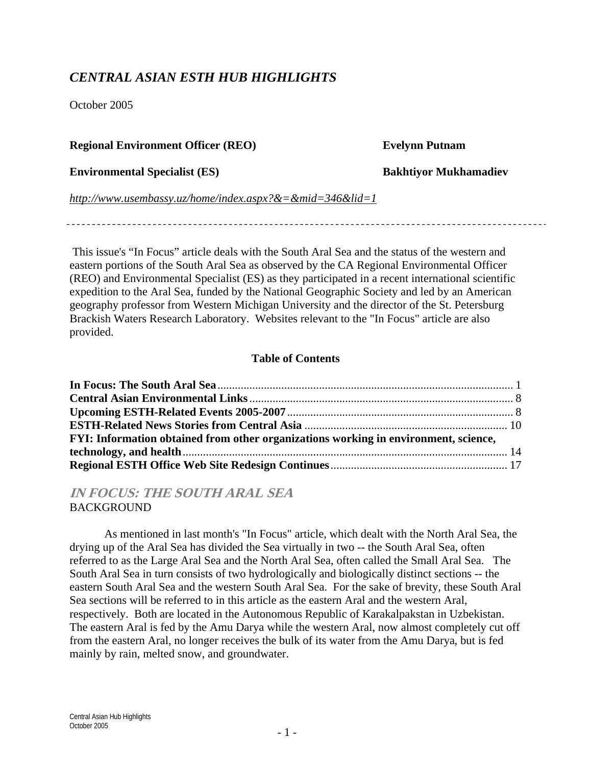## *CENTRAL ASIAN ESTH HUB HIGHLIGHTS*

October 2005

#### **Regional Environment Officer (REO) Evelynn Putnam**

**Environmental Specialist (ES) Bakhtiyor Mukhamadiev**

*http://www.usembassy.uz/home/index.aspx?&=&mid=346&lid=1*

 This issue's "In Focus" article deals with the South Aral Sea and the status of the western and eastern portions of the South Aral Sea as observed by the CA Regional Environmental Officer (REO) and Environmental Specialist (ES) as they participated in a recent international scientific expedition to the Aral Sea, funded by the National Geographic Society and led by an American geography professor from Western Michigan University and the director of the St. Petersburg Brackish Waters Research Laboratory. Websites relevant to the "In Focus" article are also provided.

### **Table of Contents**

| FYI: Information obtained from other organizations working in environment, science, |  |
|-------------------------------------------------------------------------------------|--|
|                                                                                     |  |
|                                                                                     |  |

**IN FOCUS: THE SOUTH ARAL SEA BACKGROUND** 

As mentioned in last month's "In Focus" article, which dealt with the North Aral Sea, the drying up of the Aral Sea has divided the Sea virtually in two -- the South Aral Sea, often referred to as the Large Aral Sea and the North Aral Sea, often called the Small Aral Sea. The South Aral Sea in turn consists of two hydrologically and biologically distinct sections -- the eastern South Aral Sea and the western South Aral Sea. For the sake of brevity, these South Aral Sea sections will be referred to in this article as the eastern Aral and the western Aral, respectively. Both are located in the Autonomous Republic of Karakalpakstan in Uzbekistan. The eastern Aral is fed by the Amu Darya while the western Aral, now almost completely cut off from the eastern Aral, no longer receives the bulk of its water from the Amu Darya, but is fed mainly by rain, melted snow, and groundwater.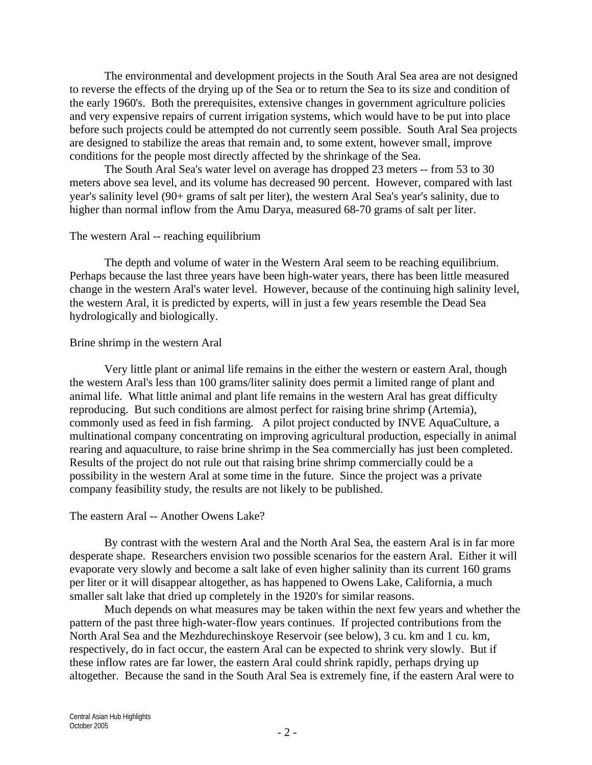The environmental and development projects in the South Aral Sea area are not designed to reverse the effects of the drying up of the Sea or to return the Sea to its size and condition of the early 1960's. Both the prerequisites, extensive changes in government agriculture policies and very expensive repairs of current irrigation systems, which would have to be put into place before such projects could be attempted do not currently seem possible. South Aral Sea projects are designed to stabilize the areas that remain and, to some extent, however small, improve conditions for the people most directly affected by the shrinkage of the Sea.

The South Aral Sea's water level on average has dropped 23 meters -- from 53 to 30 meters above sea level, and its volume has decreased 90 percent. However, compared with last year's salinity level (90+ grams of salt per liter), the western Aral Sea's year's salinity, due to higher than normal inflow from the Amu Darya, measured 68-70 grams of salt per liter.

#### The western Aral -- reaching equilibrium

The depth and volume of water in the Western Aral seem to be reaching equilibrium. Perhaps because the last three years have been high-water years, there has been little measured change in the western Aral's water level. However, because of the continuing high salinity level, the western Aral, it is predicted by experts, will in just a few years resemble the Dead Sea hydrologically and biologically.

#### Brine shrimp in the western Aral

Very little plant or animal life remains in the either the western or eastern Aral, though the western Aral's less than 100 grams/liter salinity does permit a limited range of plant and animal life. What little animal and plant life remains in the western Aral has great difficulty reproducing. But such conditions are almost perfect for raising brine shrimp (Artemia), commonly used as feed in fish farming. A pilot project conducted by INVE AquaCulture, a multinational company concentrating on improving agricultural production, especially in animal rearing and aquaculture, to raise brine shrimp in the Sea commercially has just been completed. Results of the project do not rule out that raising brine shrimp commercially could be a possibility in the western Aral at some time in the future. Since the project was a private company feasibility study, the results are not likely to be published.

#### The eastern Aral -- Another Owens Lake?

By contrast with the western Aral and the North Aral Sea, the eastern Aral is in far more desperate shape. Researchers envision two possible scenarios for the eastern Aral. Either it will evaporate very slowly and become a salt lake of even higher salinity than its current 160 grams per liter or it will disappear altogether, as has happened to Owens Lake, California, a much smaller salt lake that dried up completely in the 1920's for similar reasons.

Much depends on what measures may be taken within the next few years and whether the pattern of the past three high-water-flow years continues. If projected contributions from the North Aral Sea and the Mezhdurechinskoye Reservoir (see below), 3 cu. km and 1 cu. km, respectively, do in fact occur, the eastern Aral can be expected to shrink very slowly. But if these inflow rates are far lower, the eastern Aral could shrink rapidly, perhaps drying up altogether. Because the sand in the South Aral Sea is extremely fine, if the eastern Aral were to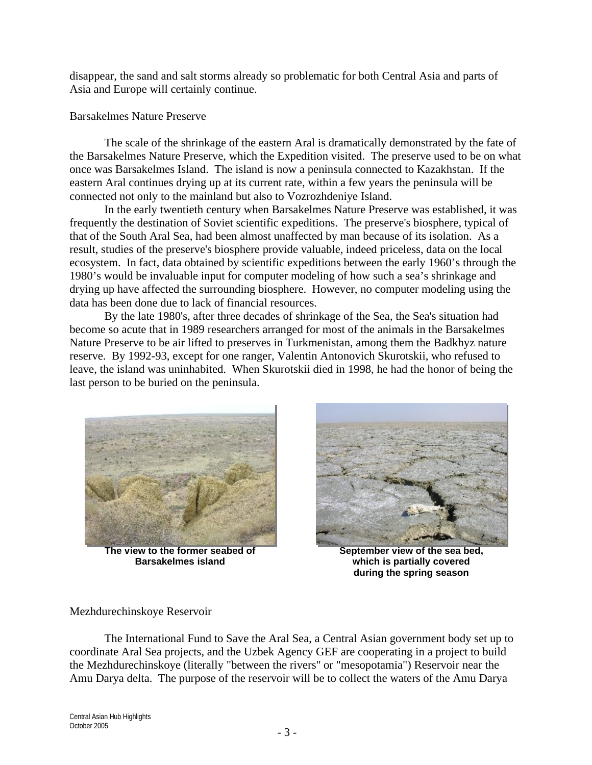disappear, the sand and salt storms already so problematic for both Central Asia and parts of Asia and Europe will certainly continue.

#### Barsakelmes Nature Preserve

The scale of the shrinkage of the eastern Aral is dramatically demonstrated by the fate of the Barsakelmes Nature Preserve, which the Expedition visited. The preserve used to be on what once was Barsakelmes Island. The island is now a peninsula connected to Kazakhstan. If the eastern Aral continues drying up at its current rate, within a few years the peninsula will be connected not only to the mainland but also to Vozrozhdeniye Island.

In the early twentieth century when Barsakelmes Nature Preserve was established, it was frequently the destination of Soviet scientific expeditions. The preserve's biosphere, typical of that of the South Aral Sea, had been almost unaffected by man because of its isolation. As a result, studies of the preserve's biosphere provide valuable, indeed priceless, data on the local ecosystem. In fact, data obtained by scientific expeditions between the early 1960's through the 1980's would be invaluable input for computer modeling of how such a sea's shrinkage and drying up have affected the surrounding biosphere. However, no computer modeling using the data has been done due to lack of financial resources.

By the late 1980's, after three decades of shrinkage of the Sea, the Sea's situation had become so acute that in 1989 researchers arranged for most of the animals in the Barsakelmes Nature Preserve to be air lifted to preserves in Turkmenistan, among them the Badkhyz nature reserve. By 1992-93, except for one ranger, Valentin Antonovich Skurotskii, who refused to leave, the island was uninhabited. When Skurotskii died in 1998, he had the honor of being the last person to be buried on the peninsula.



**The view to the former seabed of Barsakelmes island**



**September view of the sea bed, which is partially covered during the spring season**

#### Mezhdurechinskoye Reservoir

The International Fund to Save the Aral Sea, a Central Asian government body set up to coordinate Aral Sea projects, and the Uzbek Agency GEF are cooperating in a project to build the Mezhdurechinskoye (literally "between the rivers" or "mesopotamia") Reservoir near the Amu Darya delta. The purpose of the reservoir will be to collect the waters of the Amu Darya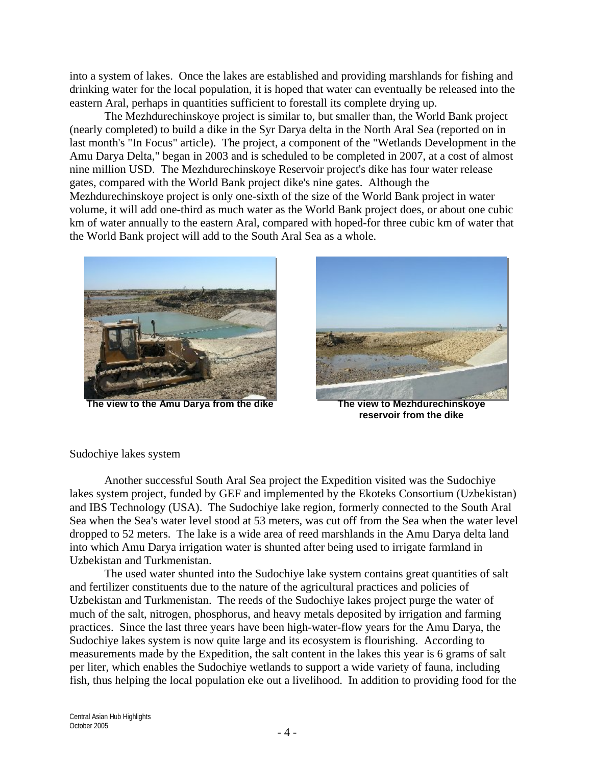into a system of lakes. Once the lakes are established and providing marshlands for fishing and drinking water for the local population, it is hoped that water can eventually be released into the eastern Aral, perhaps in quantities sufficient to forestall its complete drying up.

The Mezhdurechinskoye project is similar to, but smaller than, the World Bank project (nearly completed) to build a dike in the Syr Darya delta in the North Aral Sea (reported on in last month's "In Focus" article). The project, a component of the "Wetlands Development in the Amu Darya Delta," began in 2003 and is scheduled to be completed in 2007, at a cost of almost nine million USD. The Mezhdurechinskoye Reservoir project's dike has four water release gates, compared with the World Bank project dike's nine gates. Although the Mezhdurechinskoye project is only one-sixth of the size of the World Bank project in water volume, it will add one-third as much water as the World Bank project does, or about one cubic km of water annually to the eastern Aral, compared with hoped-for three cubic km of water that the World Bank project will add to the South Aral Sea as a whole.



**The view to the Amu Darya from the dike The view to Mezhdurechinskoye** 



**reservoir from the dike**

Sudochiye lakes system

Another successful South Aral Sea project the Expedition visited was the Sudochiye lakes system project, funded by GEF and implemented by the Ekoteks Consortium (Uzbekistan) and IBS Technology (USA). The Sudochiye lake region, formerly connected to the South Aral Sea when the Sea's water level stood at 53 meters, was cut off from the Sea when the water level dropped to 52 meters. The lake is a wide area of reed marshlands in the Amu Darya delta land into which Amu Darya irrigation water is shunted after being used to irrigate farmland in Uzbekistan and Turkmenistan.

The used water shunted into the Sudochiye lake system contains great quantities of salt and fertilizer constituents due to the nature of the agricultural practices and policies of Uzbekistan and Turkmenistan. The reeds of the Sudochiye lakes project purge the water of much of the salt, nitrogen, phosphorus, and heavy metals deposited by irrigation and farming practices. Since the last three years have been high-water-flow years for the Amu Darya, the Sudochiye lakes system is now quite large and its ecosystem is flourishing. According to measurements made by the Expedition, the salt content in the lakes this year is 6 grams of salt per liter, which enables the Sudochiye wetlands to support a wide variety of fauna, including fish, thus helping the local population eke out a livelihood. In addition to providing food for the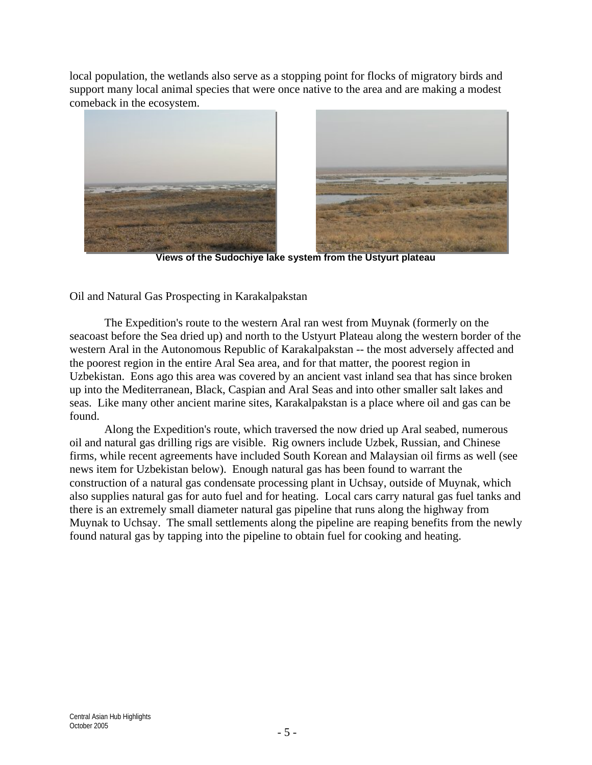local population, the wetlands also serve as a stopping point for flocks of migratory birds and support many local animal species that were once native to the area and are making a modest comeback in the ecosystem.



**Views of the Sudochiye lake system from the Ustyurt plateau**

Oil and Natural Gas Prospecting in Karakalpakstan

The Expedition's route to the western Aral ran west from Muynak (formerly on the seacoast before the Sea dried up) and north to the Ustyurt Plateau along the western border of the western Aral in the Autonomous Republic of Karakalpakstan -- the most adversely affected and the poorest region in the entire Aral Sea area, and for that matter, the poorest region in Uzbekistan. Eons ago this area was covered by an ancient vast inland sea that has since broken up into the Mediterranean, Black, Caspian and Aral Seas and into other smaller salt lakes and seas. Like many other ancient marine sites, Karakalpakstan is a place where oil and gas can be found.

Along the Expedition's route, which traversed the now dried up Aral seabed, numerous oil and natural gas drilling rigs are visible. Rig owners include Uzbek, Russian, and Chinese firms, while recent agreements have included South Korean and Malaysian oil firms as well (see news item for Uzbekistan below). Enough natural gas has been found to warrant the construction of a natural gas condensate processing plant in Uchsay, outside of Muynak, which also supplies natural gas for auto fuel and for heating. Local cars carry natural gas fuel tanks and there is an extremely small diameter natural gas pipeline that runs along the highway from Muynak to Uchsay. The small settlements along the pipeline are reaping benefits from the newly found natural gas by tapping into the pipeline to obtain fuel for cooking and heating.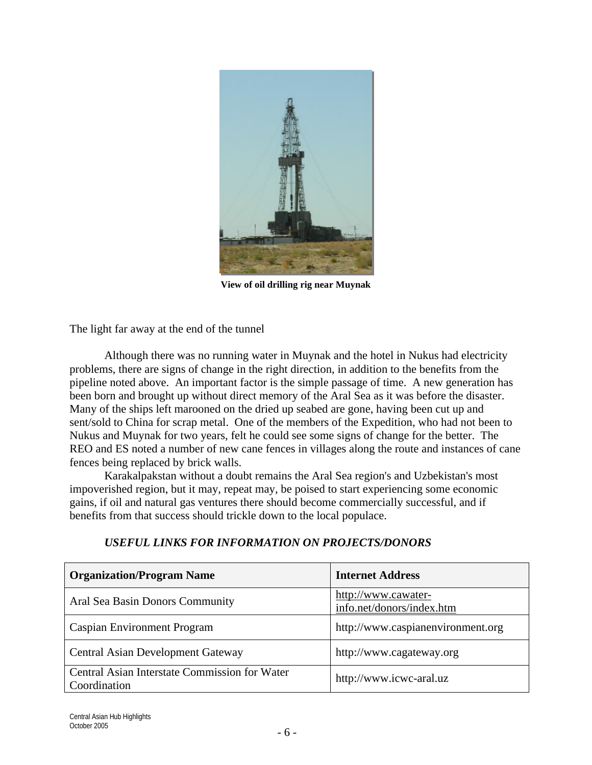

**View of oil drilling rig near Muynak**

The light far away at the end of the tunnel

Although there was no running water in Muynak and the hotel in Nukus had electricity problems, there are signs of change in the right direction, in addition to the benefits from the pipeline noted above. An important factor is the simple passage of time. A new generation has been born and brought up without direct memory of the Aral Sea as it was before the disaster. Many of the ships left marooned on the dried up seabed are gone, having been cut up and sent/sold to China for scrap metal. One of the members of the Expedition, who had not been to Nukus and Muynak for two years, felt he could see some signs of change for the better. The REO and ES noted a number of new cane fences in villages along the route and instances of cane fences being replaced by brick walls.

Karakalpakstan without a doubt remains the Aral Sea region's and Uzbekistan's most impoverished region, but it may, repeat may, be poised to start experiencing some economic gains, if oil and natural gas ventures there should become commercially successful, and if benefits from that success should trickle down to the local populace.

| <b>Organization/Program Name</b>                              | <b>Internet Address</b>                          |
|---------------------------------------------------------------|--------------------------------------------------|
| Aral Sea Basin Donors Community                               | http://www.cawater-<br>info.net/donors/index.htm |
| Caspian Environment Program                                   | http://www.caspianenvironment.org                |
| <b>Central Asian Development Gateway</b>                      | http://www.cagateway.org                         |
| Central Asian Interstate Commission for Water<br>Coordination | http://www.icwc-aral.uz                          |

#### *USEFUL LINKS FOR INFORMATION ON PROJECTS/DONORS*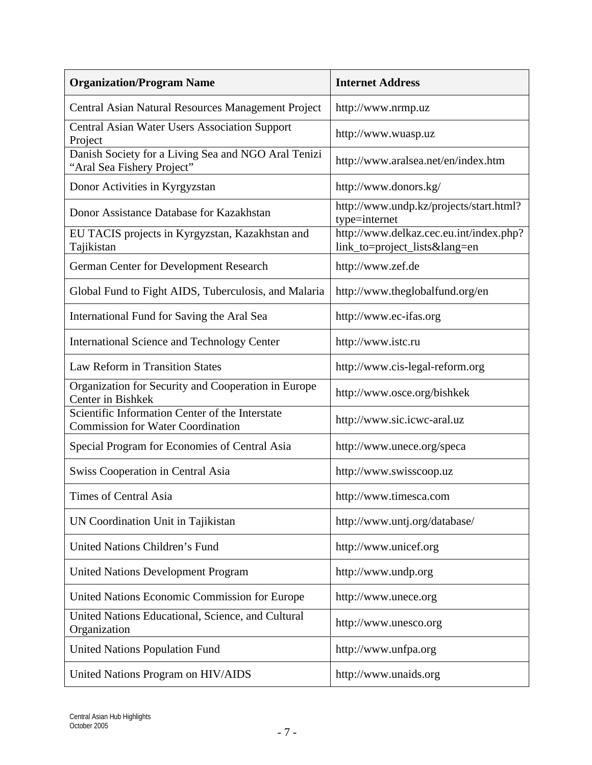| <b>Organization/Program Name</b>                                                            | <b>Internet Address</b>                                              |  |
|---------------------------------------------------------------------------------------------|----------------------------------------------------------------------|--|
| Central Asian Natural Resources Management Project                                          | http://www.nrmp.uz                                                   |  |
| Central Asian Water Users Association Support<br>Project                                    | http://www.wuasp.uz                                                  |  |
| Danish Society for a Living Sea and NGO Aral Tenizi<br>"Aral Sea Fishery Project"           | http://www.aralsea.net/en/index.htm                                  |  |
| Donor Activities in Kyrgyzstan                                                              | http://www.donors.kg/                                                |  |
| Donor Assistance Database for Kazakhstan                                                    | http://www.undp.kz/projects/start.html?<br>type=internet             |  |
| EU TACIS projects in Kyrgyzstan, Kazakhstan and<br>Tajikistan                               | http://www.delkaz.cec.eu.int/index.php?<br>link_to=project_lists⟨=en |  |
| German Center for Development Research                                                      | http://www.zef.de                                                    |  |
| Global Fund to Fight AIDS, Tuberculosis, and Malaria                                        | http://www.theglobalfund.org/en                                      |  |
| International Fund for Saving the Aral Sea                                                  | http://www.ec-ifas.org                                               |  |
| <b>International Science and Technology Center</b>                                          | http://www.istc.ru                                                   |  |
| <b>Law Reform in Transition States</b>                                                      | http://www.cis-legal-reform.org                                      |  |
| Organization for Security and Cooperation in Europe<br><b>Center in Bishkek</b>             | http://www.osce.org/bishkek                                          |  |
| Scientific Information Center of the Interstate<br><b>Commission for Water Coordination</b> | http://www.sic.icwc-aral.uz                                          |  |
| Special Program for Economies of Central Asia                                               | http://www.unece.org/speca                                           |  |
| Swiss Cooperation in Central Asia                                                           | http://www.swisscoop.uz                                              |  |
| Times of Central Asia                                                                       | http://www.timesca.com                                               |  |
| UN Coordination Unit in Tajikistan                                                          | http://www.untj.org/database/                                        |  |
| United Nations Children's Fund                                                              | http://www.unicef.org                                                |  |
| <b>United Nations Development Program</b>                                                   | http://www.undp.org                                                  |  |
| United Nations Economic Commission for Europe                                               | http://www.unece.org                                                 |  |
| United Nations Educational, Science, and Cultural<br>Organization                           | http://www.unesco.org                                                |  |
| <b>United Nations Population Fund</b>                                                       | http://www.unfpa.org                                                 |  |
| United Nations Program on HIV/AIDS                                                          | http://www.unaids.org                                                |  |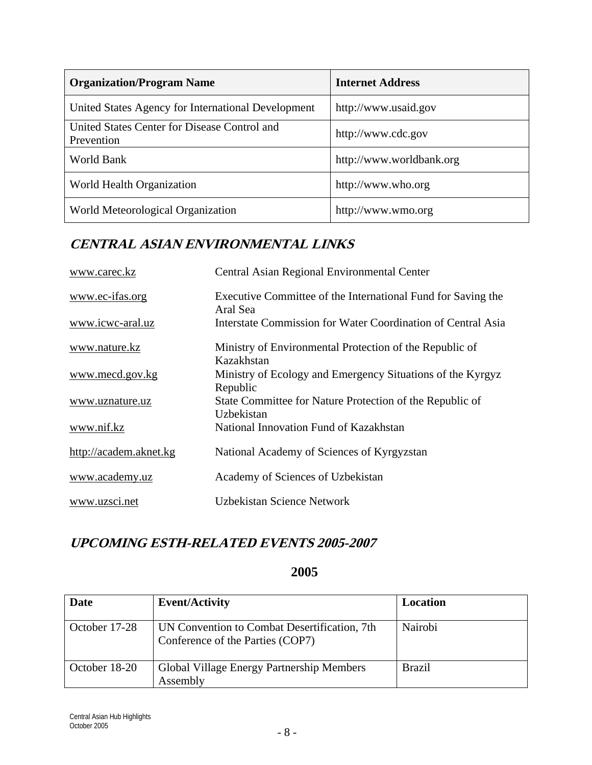| <b>Organization/Program Name</b>                           | <b>Internet Address</b>  |
|------------------------------------------------------------|--------------------------|
| United States Agency for International Development         | http://www.usaid.gov     |
| United States Center for Disease Control and<br>Prevention | http://www.cdc.gov       |
| World Bank                                                 | http://www.worldbank.org |
| World Health Organization                                  | http://www.who.org       |
| World Meteorological Organization                          | http://www.wmo.org       |

# **CENTRAL ASIAN ENVIRONMENTAL LINKS**

| www.carec.kz           | Central Asian Regional Environmental Center                              |
|------------------------|--------------------------------------------------------------------------|
| www.ec-ifas.org        | Executive Committee of the International Fund for Saving the<br>Aral Sea |
| www.icwc-aral.uz       | Interstate Commission for Water Coordination of Central Asia             |
| www.nature.kz          | Ministry of Environmental Protection of the Republic of<br>Kazakhstan    |
| www.mecd.gov.kg        | Ministry of Ecology and Emergency Situations of the Kyrgyz<br>Republic   |
| www.uznature.uz        | State Committee for Nature Protection of the Republic of<br>Uzbekistan   |
| www.nif.kz             | National Innovation Fund of Kazakhstan                                   |
| http://academ.aknet.kg | National Academy of Sciences of Kyrgyzstan                               |
| www.academy.uz         | Academy of Sciences of Uzbekistan                                        |
| www.uzsci.net          | Uzbekistan Science Network                                               |

# **UPCOMING ESTH-RELATED EVENTS 2005-2007**

## **2005**

| <b>Date</b>   | <b>Event/Activity</b>                                                            | Location      |
|---------------|----------------------------------------------------------------------------------|---------------|
| October 17-28 | UN Convention to Combat Desertification, 7th<br>Conference of the Parties (COP7) | Nairobi       |
| October 18-20 | Global Village Energy Partnership Members<br>Assembly                            | <b>Brazil</b> |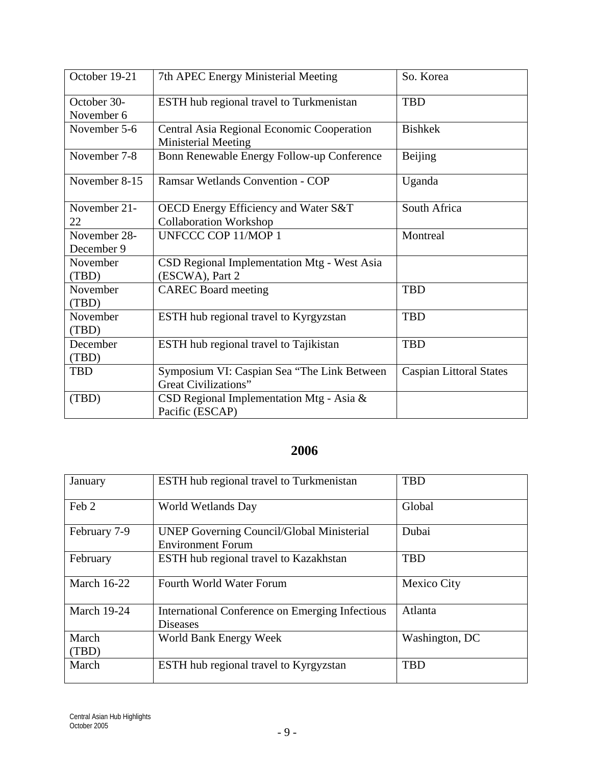| October 19-21 | 7th APEC Energy Ministerial Meeting                                      | So. Korea                      |
|---------------|--------------------------------------------------------------------------|--------------------------------|
| October 30-   | ESTH hub regional travel to Turkmenistan                                 | <b>TBD</b>                     |
| November 6    |                                                                          |                                |
| November 5-6  | Central Asia Regional Economic Cooperation<br><b>Ministerial Meeting</b> | <b>Bishkek</b>                 |
| November 7-8  | Bonn Renewable Energy Follow-up Conference                               | Beijing                        |
| November 8-15 | <b>Ramsar Wetlands Convention - COP</b>                                  | Uganda                         |
| November 21-  | OECD Energy Efficiency and Water S&T                                     | South Africa                   |
| 22            | <b>Collaboration Workshop</b>                                            |                                |
| November 28-  | <b>UNFCCC COP 11/MOP 1</b>                                               | Montreal                       |
| December 9    |                                                                          |                                |
| November      | CSD Regional Implementation Mtg - West Asia                              |                                |
| (TBD)         | (ESCWA), Part 2                                                          |                                |
| November      | <b>CAREC Board meeting</b>                                               | <b>TBD</b>                     |
| (TBD)         |                                                                          |                                |
| November      | ESTH hub regional travel to Kyrgyzstan                                   | <b>TBD</b>                     |
| (TBD)         |                                                                          |                                |
| December      | <b>ESTH</b> hub regional travel to Tajikistan                            | <b>TBD</b>                     |
| (TBD)         |                                                                          |                                |
| <b>TBD</b>    | Symposium VI: Caspian Sea "The Link Between"                             | <b>Caspian Littoral States</b> |
|               | <b>Great Civilizations"</b>                                              |                                |
| (TBD)         | CSD Regional Implementation Mtg - Asia $\&$                              |                                |
|               | Pacific (ESCAP)                                                          |                                |

# **2006**

| January            | <b>ESTH</b> hub regional travel to Turkmenistan                              | <b>TBD</b>     |
|--------------------|------------------------------------------------------------------------------|----------------|
| Feb 2              | World Wetlands Day                                                           | Global         |
| February 7-9       | <b>UNEP Governing Council/Global Ministerial</b><br><b>Environment Forum</b> | Dubai          |
| February           | <b>ESTH</b> hub regional travel to Kazakhstan                                | <b>TBD</b>     |
| March 16-22        | Fourth World Water Forum                                                     | Mexico City    |
| <b>March 19-24</b> | International Conference on Emerging Infectious<br><b>Diseases</b>           | Atlanta        |
| March<br>(TBD)     | World Bank Energy Week                                                       | Washington, DC |
| March              | <b>ESTH</b> hub regional travel to Kyrgyzstan                                | <b>TBD</b>     |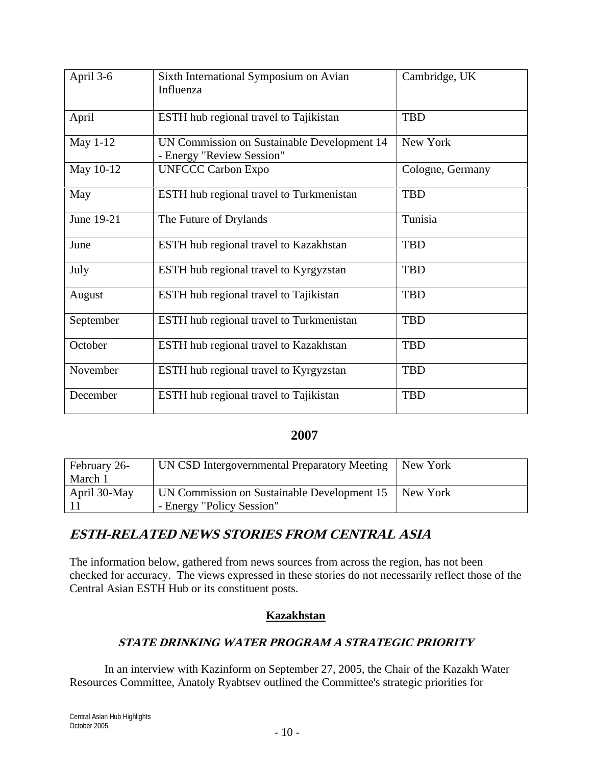| April 3-6  | Sixth International Symposium on Avian        | Cambridge, UK    |
|------------|-----------------------------------------------|------------------|
|            | Influenza                                     |                  |
|            |                                               |                  |
| April      | ESTH hub regional travel to Tajikistan        | <b>TBD</b>       |
| May 1-12   | UN Commission on Sustainable Development 14   | New York         |
|            | - Energy "Review Session"                     |                  |
| May 10-12  | <b>UNFCCC Carbon Expo</b>                     | Cologne, Germany |
| May        | ESTH hub regional travel to Turkmenistan      | <b>TBD</b>       |
| June 19-21 | The Future of Drylands                        | Tunisia          |
| June       | ESTH hub regional travel to Kazakhstan        | <b>TBD</b>       |
| July       | ESTH hub regional travel to Kyrgyzstan        | <b>TBD</b>       |
| August     | ESTH hub regional travel to Tajikistan        | <b>TBD</b>       |
| September  | ESTH hub regional travel to Turkmenistan      | <b>TBD</b>       |
| October    | ESTH hub regional travel to Kazakhstan        | <b>TBD</b>       |
| November   | ESTH hub regional travel to Kyrgyzstan        | <b>TBD</b>       |
| December   | <b>ESTH</b> hub regional travel to Tajikistan | <b>TBD</b>       |

#### **2007**

| February 26-    | UN CSD Intergovernmental Preparatory Meeting | New York |
|-----------------|----------------------------------------------|----------|
| March 1         |                                              |          |
| April $30$ -May | UN Commission on Sustainable Development 15  | New York |
|                 | - Energy "Policy Session"                    |          |

# **ESTH-RELATED NEWS STORIES FROM CENTRAL ASIA**

The information below, gathered from news sources from across the region, has not been checked for accuracy. The views expressed in these stories do not necessarily reflect those of the Central Asian ESTH Hub or its constituent posts.

#### **Kazakhstan**

## **STATE DRINKING WATER PROGRAM A STRATEGIC PRIORITY**

In an interview with Kazinform on September 27, 2005, the Chair of the Kazakh Water Resources Committee, Anatoly Ryabtsev outlined the Committee's strategic priorities for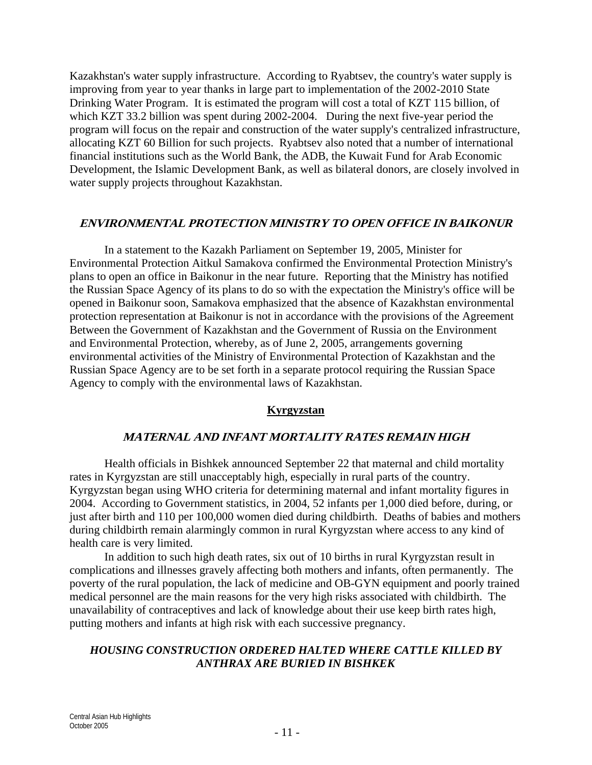Kazakhstan's water supply infrastructure. According to Ryabtsev, the country's water supply is improving from year to year thanks in large part to implementation of the 2002-2010 State Drinking Water Program. It is estimated the program will cost a total of KZT 115 billion, of which KZT 33.2 billion was spent during 2002-2004. During the next five-year period the program will focus on the repair and construction of the water supply's centralized infrastructure, allocating KZT 60 Billion for such projects. Ryabtsev also noted that a number of international financial institutions such as the World Bank, the ADB, the Kuwait Fund for Arab Economic Development, the Islamic Development Bank, as well as bilateral donors, are closely involved in water supply projects throughout Kazakhstan.

#### **ENVIRONMENTAL PROTECTION MINISTRY TO OPEN OFFICE IN BAIKONUR**

In a statement to the Kazakh Parliament on September 19, 2005, Minister for Environmental Protection Aitkul Samakova confirmed the Environmental Protection Ministry's plans to open an office in Baikonur in the near future. Reporting that the Ministry has notified the Russian Space Agency of its plans to do so with the expectation the Ministry's office will be opened in Baikonur soon, Samakova emphasized that the absence of Kazakhstan environmental protection representation at Baikonur is not in accordance with the provisions of the Agreement Between the Government of Kazakhstan and the Government of Russia on the Environment and Environmental Protection, whereby, as of June 2, 2005, arrangements governing environmental activities of the Ministry of Environmental Protection of Kazakhstan and the Russian Space Agency are to be set forth in a separate protocol requiring the Russian Space Agency to comply with the environmental laws of Kazakhstan.

#### **Kyrgyzstan**

#### **MATERNAL AND INFANT MORTALITY RATES REMAIN HIGH**

Health officials in Bishkek announced September 22 that maternal and child mortality rates in Kyrgyzstan are still unacceptably high, especially in rural parts of the country. Kyrgyzstan began using WHO criteria for determining maternal and infant mortality figures in 2004. According to Government statistics, in 2004, 52 infants per 1,000 died before, during, or just after birth and 110 per 100,000 women died during childbirth. Deaths of babies and mothers during childbirth remain alarmingly common in rural Kyrgyzstan where access to any kind of health care is very limited.

In addition to such high death rates, six out of 10 births in rural Kyrgyzstan result in complications and illnesses gravely affecting both mothers and infants, often permanently. The poverty of the rural population, the lack of medicine and OB-GYN equipment and poorly trained medical personnel are the main reasons for the very high risks associated with childbirth. The unavailability of contraceptives and lack of knowledge about their use keep birth rates high, putting mothers and infants at high risk with each successive pregnancy.

#### *HOUSING CONSTRUCTION ORDERED HALTED WHERE CATTLE KILLED BY ANTHRAX ARE BURIED IN BISHKEK*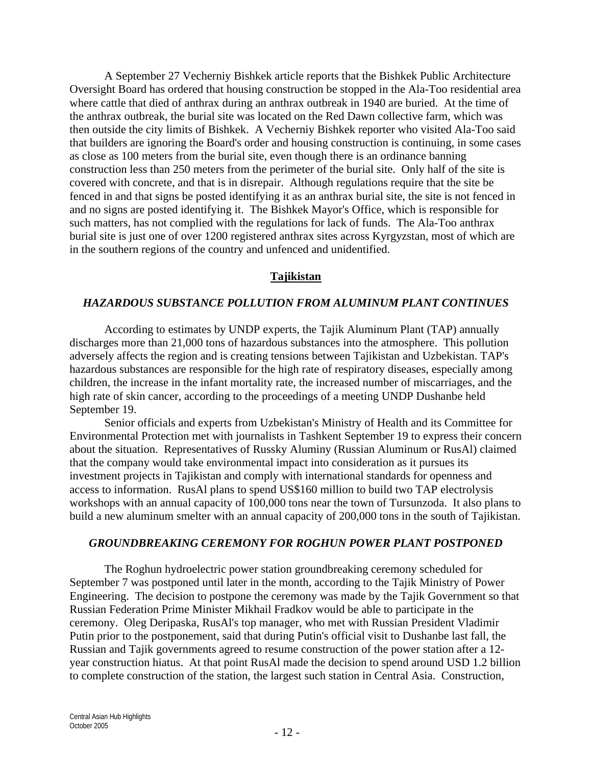A September 27 Vecherniy Bishkek article reports that the Bishkek Public Architecture Oversight Board has ordered that housing construction be stopped in the Ala-Too residential area where cattle that died of anthrax during an anthrax outbreak in 1940 are buried. At the time of the anthrax outbreak, the burial site was located on the Red Dawn collective farm, which was then outside the city limits of Bishkek. A Vecherniy Bishkek reporter who visited Ala-Too said that builders are ignoring the Board's order and housing construction is continuing, in some cases as close as 100 meters from the burial site, even though there is an ordinance banning construction less than 250 meters from the perimeter of the burial site. Only half of the site is covered with concrete, and that is in disrepair. Although regulations require that the site be fenced in and that signs be posted identifying it as an anthrax burial site, the site is not fenced in and no signs are posted identifying it. The Bishkek Mayor's Office, which is responsible for such matters, has not complied with the regulations for lack of funds. The Ala-Too anthrax burial site is just one of over 1200 registered anthrax sites across Kyrgyzstan, most of which are in the southern regions of the country and unfenced and unidentified.

#### **Tajikistan**

#### *HAZARDOUS SUBSTANCE POLLUTION FROM ALUMINUM PLANT CONTINUES*

According to estimates by UNDP experts, the Tajik Aluminum Plant (TAP) annually discharges more than 21,000 tons of hazardous substances into the atmosphere. This pollution adversely affects the region and is creating tensions between Tajikistan and Uzbekistan. TAP's hazardous substances are responsible for the high rate of respiratory diseases, especially among children, the increase in the infant mortality rate, the increased number of miscarriages, and the high rate of skin cancer, according to the proceedings of a meeting UNDP Dushanbe held September 19.

Senior officials and experts from Uzbekistan's Ministry of Health and its Committee for Environmental Protection met with journalists in Tashkent September 19 to express their concern about the situation. Representatives of Russky Aluminy (Russian Aluminum or RusAl) claimed that the company would take environmental impact into consideration as it pursues its investment projects in Tajikistan and comply with international standards for openness and access to information. RusAl plans to spend US\$160 million to build two TAP electrolysis workshops with an annual capacity of 100,000 tons near the town of Tursunzoda. It also plans to build a new aluminum smelter with an annual capacity of 200,000 tons in the south of Tajikistan.

#### *GROUNDBREAKING CEREMONY FOR ROGHUN POWER PLANT POSTPONED*

The Roghun hydroelectric power station groundbreaking ceremony scheduled for September 7 was postponed until later in the month, according to the Tajik Ministry of Power Engineering. The decision to postpone the ceremony was made by the Tajik Government so that Russian Federation Prime Minister Mikhail Fradkov would be able to participate in the ceremony. Oleg Deripaska, RusAl's top manager, who met with Russian President Vladimir Putin prior to the postponement, said that during Putin's official visit to Dushanbe last fall, the Russian and Tajik governments agreed to resume construction of the power station after a 12 year construction hiatus. At that point RusAl made the decision to spend around USD 1.2 billion to complete construction of the station, the largest such station in Central Asia. Construction,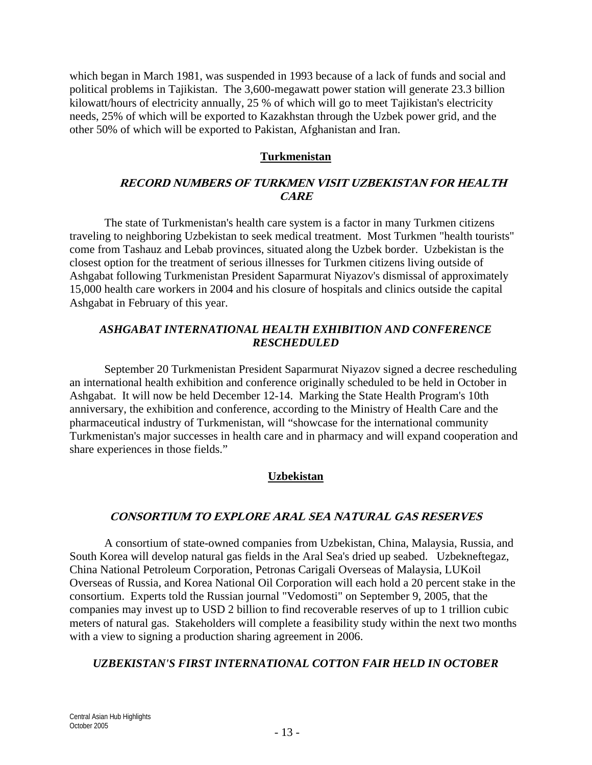which began in March 1981, was suspended in 1993 because of a lack of funds and social and political problems in Tajikistan. The 3,600-megawatt power station will generate 23.3 billion kilowatt/hours of electricity annually, 25 % of which will go to meet Tajikistan's electricity needs, 25% of which will be exported to Kazakhstan through the Uzbek power grid, and the other 50% of which will be exported to Pakistan, Afghanistan and Iran.

#### **Turkmenistan**

#### **RECORD NUMBERS OF TURKMEN VISIT UZBEKISTAN FOR HEALTH CARE**

The state of Turkmenistan's health care system is a factor in many Turkmen citizens traveling to neighboring Uzbekistan to seek medical treatment. Most Turkmen "health tourists" come from Tashauz and Lebab provinces, situated along the Uzbek border. Uzbekistan is the closest option for the treatment of serious illnesses for Turkmen citizens living outside of Ashgabat following Turkmenistan President Saparmurat Niyazov's dismissal of approximately 15,000 health care workers in 2004 and his closure of hospitals and clinics outside the capital Ashgabat in February of this year.

#### *ASHGABAT INTERNATIONAL HEALTH EXHIBITION AND CONFERENCE RESCHEDULED*

September 20 Turkmenistan President Saparmurat Niyazov signed a decree rescheduling an international health exhibition and conference originally scheduled to be held in October in Ashgabat. It will now be held December 12-14. Marking the State Health Program's 10th anniversary, the exhibition and conference, according to the Ministry of Health Care and the pharmaceutical industry of Turkmenistan, will "showcase for the international community Turkmenistan's major successes in health care and in pharmacy and will expand cooperation and share experiences in those fields."

#### **Uzbekistan**

#### **CONSORTIUM TO EXPLORE ARAL SEA NATURAL GAS RESERVES**

A consortium of state-owned companies from Uzbekistan, China, Malaysia, Russia, and South Korea will develop natural gas fields in the Aral Sea's dried up seabed. Uzbekneftegaz, China National Petroleum Corporation, Petronas Carigali Overseas of Malaysia, LUKoil Overseas of Russia, and Korea National Oil Corporation will each hold a 20 percent stake in the consortium. Experts told the Russian journal "Vedomosti" on September 9, 2005, that the companies may invest up to USD 2 billion to find recoverable reserves of up to 1 trillion cubic meters of natural gas. Stakeholders will complete a feasibility study within the next two months with a view to signing a production sharing agreement in 2006.

#### *UZBEKISTAN'S FIRST INTERNATIONAL COTTON FAIR HELD IN OCTOBER*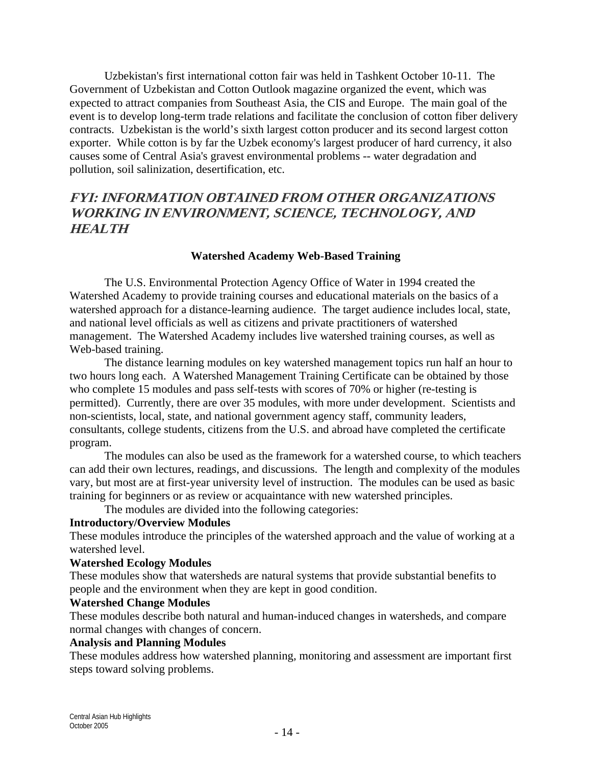Uzbekistan's first international cotton fair was held in Tashkent October 10-11. The Government of Uzbekistan and Cotton Outlook magazine organized the event, which was expected to attract companies from Southeast Asia, the CIS and Europe. The main goal of the event is to develop long-term trade relations and facilitate the conclusion of cotton fiber delivery contracts. Uzbekistan is the world's sixth largest cotton producer and its second largest cotton exporter. While cotton is by far the Uzbek economy's largest producer of hard currency, it also causes some of Central Asia's gravest environmental problems -- water degradation and pollution, soil salinization, desertification, etc.

## **FYI: INFORMATION OBTAINED FROM OTHER ORGANIZATIONS WORKING IN ENVIRONMENT, SCIENCE, TECHNOLOGY, AND HEALTH**

#### **Watershed Academy Web-Based Training**

The U.S. Environmental Protection Agency Office of Water in 1994 created the Watershed Academy to provide training courses and educational materials on the basics of a watershed approach for a distance-learning audience. The target audience includes local, state, and national level officials as well as citizens and private practitioners of watershed management. The Watershed Academy includes live watershed training courses, as well as Web-based training.

The distance learning modules on key watershed management topics run half an hour to two hours long each. A Watershed Management Training Certificate can be obtained by those who complete 15 modules and pass self-tests with scores of 70% or higher (re-testing is permitted). Currently, there are over 35 modules, with more under development. Scientists and non-scientists, local, state, and national government agency staff, community leaders, consultants, college students, citizens from the U.S. and abroad have completed the certificate program.

The modules can also be used as the framework for a watershed course, to which teachers can add their own lectures, readings, and discussions. The length and complexity of the modules vary, but most are at first-year university level of instruction. The modules can be used as basic training for beginners or as review or acquaintance with new watershed principles.

The modules are divided into the following categories:

#### **Introductory/Overview Modules**

These modules introduce the principles of the watershed approach and the value of working at a watershed level.

#### **Watershed Ecology Modules**

These modules show that watersheds are natural systems that provide substantial benefits to people and the environment when they are kept in good condition.

#### **Watershed Change Modules**

These modules describe both natural and human-induced changes in watersheds, and compare normal changes with changes of concern.

#### **Analysis and Planning Modules**

These modules address how watershed planning, monitoring and assessment are important first steps toward solving problems.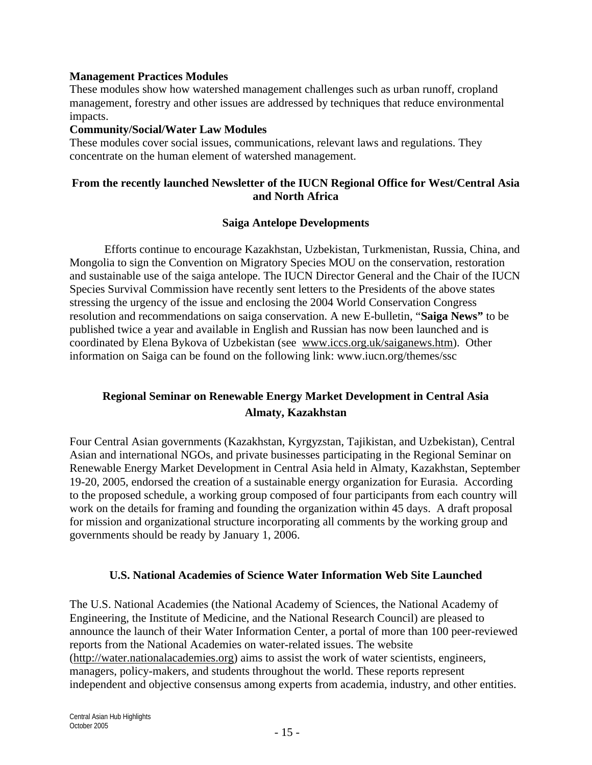#### **Management Practices Modules**

These modules show how watershed management challenges such as urban runoff, cropland management, forestry and other issues are addressed by techniques that reduce environmental impacts.

#### **Community/Social/Water Law Modules**

These modules cover social issues, communications, relevant laws and regulations. They concentrate on the human element of watershed management.

#### **From the recently launched Newsletter of the IUCN Regional Office for West/Central Asia and North Africa**

#### **Saiga Antelope Developments**

Efforts continue to encourage Kazakhstan, Uzbekistan, Turkmenistan, Russia, China, and Mongolia to sign the Convention on Migratory Species MOU on the conservation, restoration and sustainable use of the saiga antelope. The IUCN Director General and the Chair of the IUCN Species Survival Commission have recently sent letters to the Presidents of the above states stressing the urgency of the issue and enclosing the 2004 World Conservation Congress resolution and recommendations on saiga conservation. A new E-bulletin, "**Saiga News"** to be published twice a year and available in English and Russian has now been launched and is coordinated by Elena Bykova of Uzbekistan (see www.iccs.org.uk/saiganews.htm). Other information on Saiga can be found on the following link: www.iucn.org/themes/ssc

## **Regional Seminar on Renewable Energy Market Development in Central Asia Almaty, Kazakhstan**

Four Central Asian governments (Kazakhstan, Kyrgyzstan, Tajikistan, and Uzbekistan), Central Asian and international NGOs, and private businesses participating in the Regional Seminar on Renewable Energy Market Development in Central Asia held in Almaty, Kazakhstan, September 19-20, 2005, endorsed the creation of a sustainable energy organization for Eurasia. According to the proposed schedule, a working group composed of four participants from each country will work on the details for framing and founding the organization within 45 days. A draft proposal for mission and organizational structure incorporating all comments by the working group and governments should be ready by January 1, 2006.

#### **U.S. National Academies of Science Water Information Web Site Launched**

The U.S. National Academies (the National Academy of Sciences, the National Academy of Engineering, the Institute of Medicine, and the National Research Council) are pleased to announce the launch of their Water Information Center, a portal of more than 100 peer-reviewed reports from the National Academies on water-related issues. The website (http://water.nationalacademies.org) aims to assist the work of water scientists, engineers, managers, policy-makers, and students throughout the world. These reports represent independent and objective consensus among experts from academia, industry, and other entities.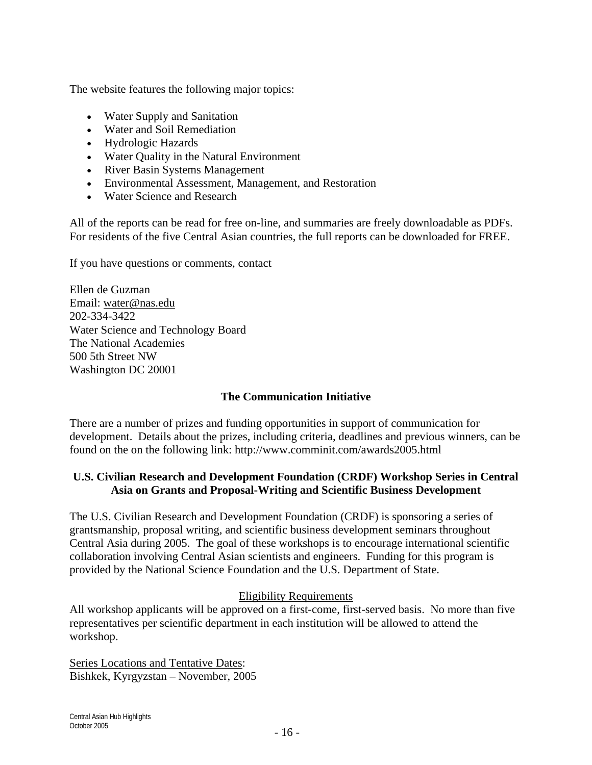The website features the following major topics:

- Water Supply and Sanitation
- Water and Soil Remediation
- Hydrologic Hazards
- Water Quality in the Natural Environment
- River Basin Systems Management
- Environmental Assessment, Management, and Restoration
- Water Science and Research

All of the reports can be read for free on-line, and summaries are freely downloadable as PDFs. For residents of the five Central Asian countries, the full reports can be downloaded for FREE.

If you have questions or comments, contact

Ellen de Guzman Email: water@nas.edu 202-334-3422 Water Science and Technology Board The National Academies 500 5th Street NW Washington DC 20001

#### **The Communication Initiative**

There are a number of prizes and funding opportunities in support of communication for development. Details about the prizes, including criteria, deadlines and previous winners, can be found on the on the following link: http://www.comminit.com/awards2005.html

### **U.S. Civilian Research and Development Foundation (CRDF) Workshop Series in Central Asia on Grants and Proposal-Writing and Scientific Business Development**

The U.S. Civilian Research and Development Foundation (CRDF) is sponsoring a series of grantsmanship, proposal writing, and scientific business development seminars throughout Central Asia during 2005. The goal of these workshops is to encourage international scientific collaboration involving Central Asian scientists and engineers. Funding for this program is provided by the National Science Foundation and the U.S. Department of State.

#### Eligibility Requirements

All workshop applicants will be approved on a first-come, first-served basis. No more than five representatives per scientific department in each institution will be allowed to attend the workshop.

Series Locations and Tentative Dates: Bishkek, Kyrgyzstan – November, 2005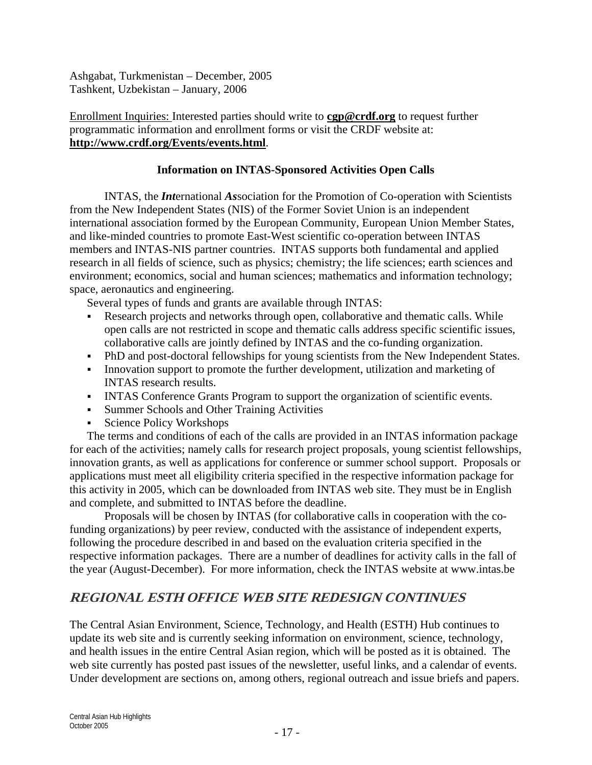Ashgabat, Turkmenistan – December, 2005 Tashkent, Uzbekistan – January, 2006

#### Enrollment Inquiries: Interested parties should write to **cgp@crdf.org** to request further programmatic information and enrollment forms or visit the CRDF website at: **http://www.crdf.org/Events/events.html**.

#### **Information on INTAS-Sponsored Activities Open Calls**

INTAS, the *Int*ernational *As*sociation for the Promotion of Co-operation with Scientists from the New Independent States (NIS) of the Former Soviet Union is an independent international association formed by the European Community, European Union Member States, and like-minded countries to promote East-West scientific co-operation between INTAS members and INTAS-NIS partner countries. INTAS supports both fundamental and applied research in all fields of science, such as physics; chemistry; the life sciences; earth sciences and environment; economics, social and human sciences; mathematics and information technology; space, aeronautics and engineering.

Several types of funds and grants are available through INTAS:

- Research projects and networks through open, collaborative and thematic calls. While open calls are not restricted in scope and thematic calls address specific scientific issues, collaborative calls are jointly defined by INTAS and the co-funding organization.
- PhD and post-doctoral fellowships for young scientists from the New Independent States.
- Innovation support to promote the further development, utilization and marketing of INTAS research results.
- INTAS Conference Grants Program to support the organization of scientific events.
- Summer Schools and Other Training Activities
- Science Policy Workshops

The terms and conditions of each of the calls are provided in an INTAS information package for each of the activities; namely calls for research project proposals, young scientist fellowships, innovation grants, as well as applications for conference or summer school support. Proposals or applications must meet all eligibility criteria specified in the respective information package for this activity in 2005, which can be downloaded from INTAS web site. They must be in English and complete, and submitted to INTAS before the deadline.

Proposals will be chosen by INTAS (for collaborative calls in cooperation with the cofunding organizations) by peer review, conducted with the assistance of independent experts, following the procedure described in and based on the evaluation criteria specified in the respective information packages. There are a number of deadlines for activity calls in the fall of the year (August-December). For more information, check the INTAS website at www.intas.be

## **REGIONAL ESTH OFFICE WEB SITE REDESIGN CONTINUES**

The Central Asian Environment, Science, Technology, and Health (ESTH) Hub continues to update its web site and is currently seeking information on environment, science, technology, and health issues in the entire Central Asian region, which will be posted as it is obtained. The web site currently has posted past issues of the newsletter, useful links, and a calendar of events. Under development are sections on, among others, regional outreach and issue briefs and papers.